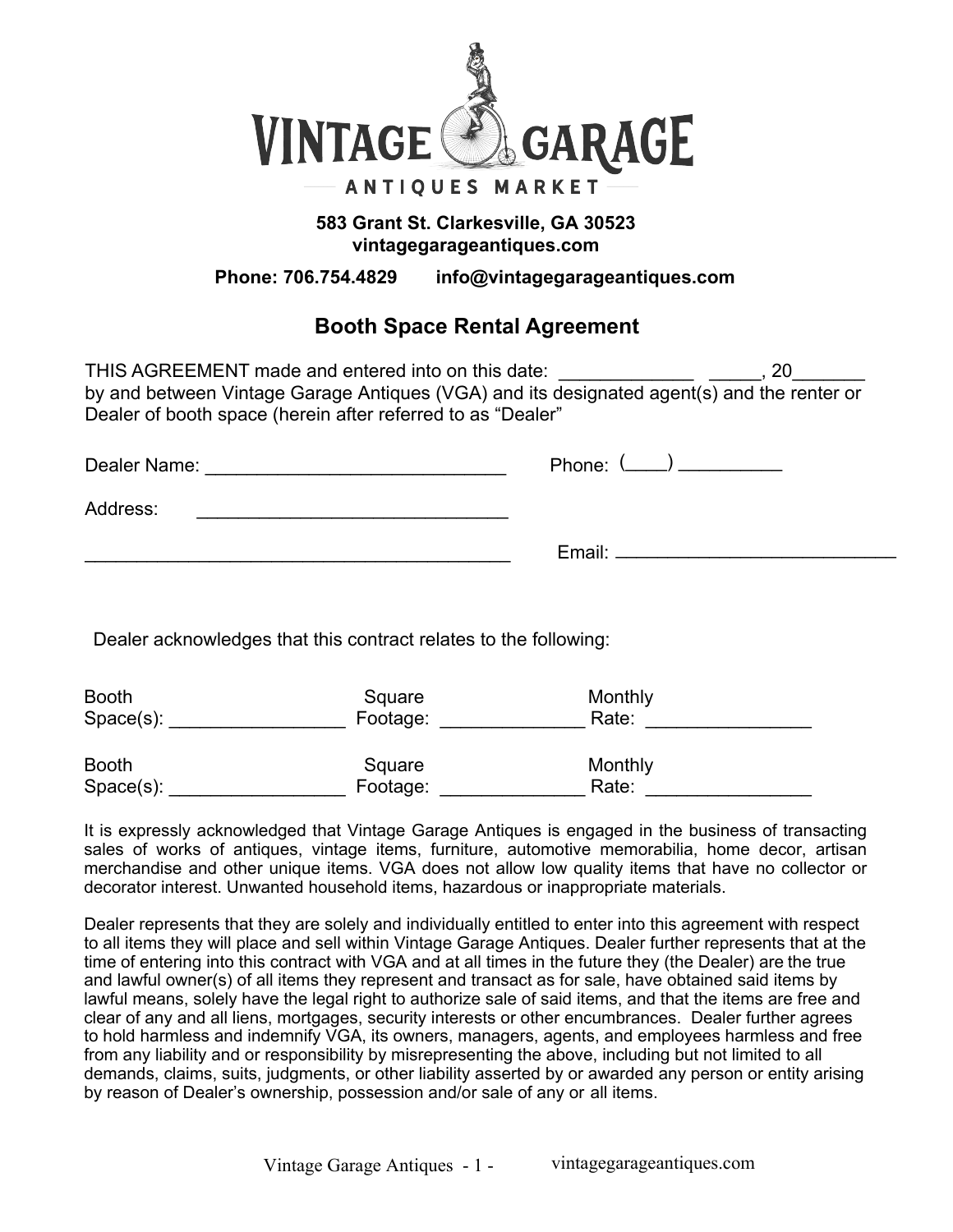

## **583 Grant St. Clarkesville, GA 30523 vintagegarageantiques.com**

**Phone: 706.754.4829 info@vintagegarageantiques.com**

# **Booth Space Rental Agreement**

THIS AGREEMENT made and entered into on this date:  $\qquad \qquad \qquad$ , 20 by and between Vintage Garage Antiques (VGA) and its designated agent(s) and the renter or Dealer of booth space (herein after referred to as "Dealer"

| Dealer Name: |                  |
|--------------|------------------|
| Address:     |                  |
|              | Email: _________ |

Dealer acknowledges that this contract relates to the following:

| <b>Booth</b> | Square   | Monthly |
|--------------|----------|---------|
| $Space(s)$ : | Footage: | Rate:   |
| <b>Booth</b> | Square   | Monthly |
| $Space(s)$ : | Footage: | Rate:   |

It is expressly acknowledged that Vintage Garage Antiques is engaged in the business of transacting sales of works of antiques, vintage items, furniture, automotive memorabilia, home decor, artisan merchandise and other unique items. VGA does not allow low quality items that have no collector or decorator interest. Unwanted household items, hazardous or inappropriate materials.

Dealer represents that they are solely and individually entitled to enter into this agreement with respect to all items they will place and sell within Vintage Garage Antiques. Dealer further represents that at the time of entering into this contract with VGA and at all times in the future they (the Dealer) are the true and lawful owner(s) of all items they represent and transact as for sale, have obtained said items by lawful means, solely have the legal right to authorize sale of said items, and that the items are free and clear of any and all liens, mortgages, security interests or other encumbrances. Dealer further agrees to hold harmless and indemnify VGA, its owners, managers, agents, and employees harmless and free from any liability and or responsibility by misrepresenting the above, including but not limited to all demands, claims, suits, judgments, or other liability asserted by or awarded any person or entity arising by reason of Dealer's ownership, possession and/or sale of any or all items.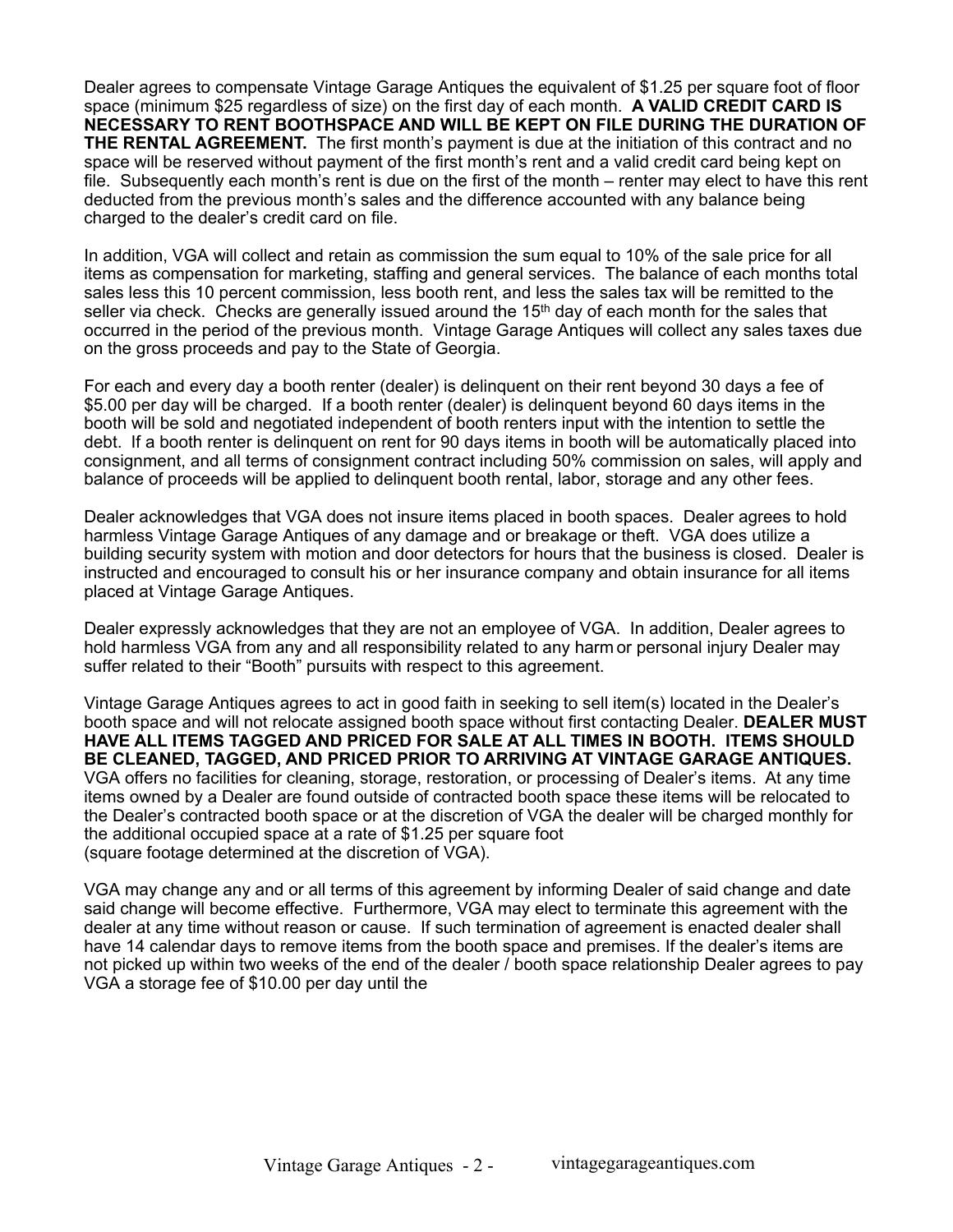Dealer agrees to compensate Vintage Garage Antiques the equivalent of \$1.25 per square foot of floor space (minimum \$25 regardless of size) on the first day of each month. **A VALID CREDIT CARD IS NECESSARY TO RENT BOOTHSPACE AND WILL BE KEPT ON FILE DURING THE DURATION OF THE RENTAL AGREEMENT.** The first month's payment is due at the initiation of this contract and no space will be reserved without payment of the first month's rent and a valid credit card being kept on file. Subsequently each month's rent is due on the first of the month – renter may elect to have this rent deducted from the previous month's sales and the difference accounted with any balance being charged to the dealer's credit card on file.

In addition, VGA will collect and retain as commission the sum equal to 10% of the sale price for all items as compensation for marketing, staffing and general services. The balance of each months total sales less this 10 percent commission, less booth rent, and less the sales tax will be remitted to the seller via check. Checks are generally issued around the  $15<sup>th</sup>$  day of each month for the sales that occurred in the period of the previous month. Vintage Garage Antiques will collect any sales taxes due on the gross proceeds and pay to the State of Georgia.

For each and every day a booth renter (dealer) is delinquent on their rent beyond 30 days a fee of \$5.00 per day will be charged. If a booth renter (dealer) is delinquent beyond 60 days items in the booth will be sold and negotiated independent of booth renters input with the intention to settle the debt. If a booth renter is delinquent on rent for 90 days items in booth will be automatically placed into consignment, and all terms of consignment contract including 50% commission on sales, will apply and balance of proceeds will be applied to delinquent booth rental, labor, storage and any other fees.

Dealer acknowledges that VGA does not insure items placed in booth spaces. Dealer agrees to hold harmless Vintage Garage Antiques of any damage and or breakage or theft. VGA does utilize a building security system with motion and door detectors for hours that the business is closed. Dealer is instructed and encouraged to consult his or her insurance company and obtain insurance for all items placed at Vintage Garage Antiques.

Dealer expressly acknowledges that they are not an employee of VGA. In addition, Dealer agrees to hold harmless VGA from any and all responsibility related to any harm or personal injury Dealer may suffer related to their "Booth" pursuits with respect to this agreement.

Vintage Garage Antiques agrees to act in good faith in seeking to sell item(s) located in the Dealer's booth space and will not relocate assigned booth space without first contacting Dealer. **DEALER MUST HAVE ALL ITEMS TAGGED AND PRICED FOR SALE AT ALL TIMES IN BOOTH. ITEMS SHOULD BE CLEANED, TAGGED, AND PRICED PRIOR TO ARRIVING AT VINTAGE GARAGE ANTIQUES.** VGA offers no facilities for cleaning, storage, restoration, or processing of Dealer's items. At any time items owned by a Dealer are found outside of contracted booth space these items will be relocated to the Dealer's contracted booth space or at the discretion of VGA the dealer will be charged monthly for the additional occupied space at a rate of \$1.25 per square foot (square footage determined at the discretion of VGA).

VGA may change any and or all terms of this agreement by informing Dealer of said change and date said change will become effective. Furthermore, VGA may elect to terminate this agreement with the dealer at any time without reason or cause. If such termination of agreement is enacted dealer shall have 14 calendar days to remove items from the booth space and premises. If the dealer's items are not picked up within two weeks of the end of the dealer / booth space relationship Dealer agrees to pay VGA a storage fee of \$10.00 per day until the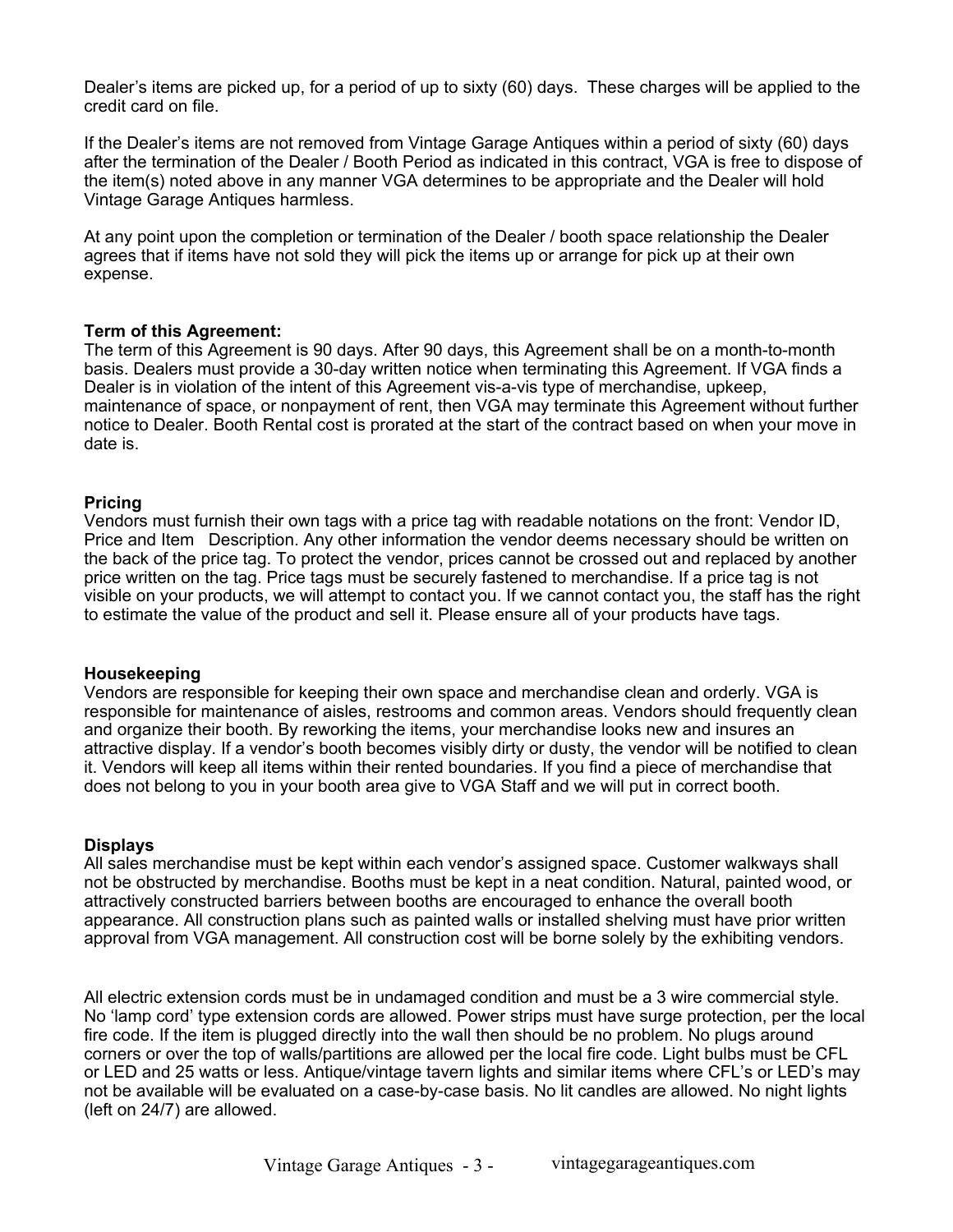Dealer's items are picked up, for a period of up to sixty (60) days. These charges will be applied to the credit card on file.

If the Dealer's items are not removed from Vintage Garage Antiques within a period of sixty (60) days after the termination of the Dealer / Booth Period as indicated in this contract, VGA is free to dispose of the item(s) noted above in any manner VGA determines to be appropriate and the Dealer will hold Vintage Garage Antiques harmless.

At any point upon the completion or termination of the Dealer / booth space relationship the Dealer agrees that if items have not sold they will pick the items up or arrange for pick up at their own expense.

### **Term of this Agreement:**

The term of this Agreement is 90 days. After 90 days, this Agreement shall be on a month-to-month basis. Dealers must provide a 30-day written notice when terminating this Agreement. If VGA finds a Dealer is in violation of the intent of this Agreement vis-a-vis type of merchandise, upkeep, maintenance of space, or nonpayment of rent, then VGA may terminate this Agreement without further notice to Dealer. Booth Rental cost is prorated at the start of the contract based on when your move in date is.

### **Pricing**

Vendors must furnish their own tags with a price tag with readable notations on the front: Vendor ID, Price and Item Description. Any other information the vendor deems necessary should be written on the back of the price tag. To protect the vendor, prices cannot be crossed out and replaced by another price written on the tag. Price tags must be securely fastened to merchandise. If a price tag is not visible on your products, we will attempt to contact you. If we cannot contact you, the staff has the right to estimate the value of the product and sell it. Please ensure all of your products have tags.

#### **Housekeeping**

Vendors are responsible for keeping their own space and merchandise clean and orderly. VGA is responsible for maintenance of aisles, restrooms and common areas. Vendors should frequently clean and organize their booth. By reworking the items, your merchandise looks new and insures an attractive display. If a vendor's booth becomes visibly dirty or dusty, the vendor will be notified to clean it. Vendors will keep all items within their rented boundaries. If you find a piece of merchandise that does not belong to you in your booth area give to VGA Staff and we will put in correct booth.

### **Displays**

All sales merchandise must be kept within each vendor's assigned space. Customer walkways shall not be obstructed by merchandise. Booths must be kept in a neat condition. Natural, painted wood, or attractively constructed barriers between booths are encouraged to enhance the overall booth appearance. All construction plans such as painted walls or installed shelving must have prior written approval from VGA management. All construction cost will be borne solely by the exhibiting vendors.

All electric extension cords must be in undamaged condition and must be a 3 wire commercial style. No 'lamp cord' type extension cords are allowed. Power strips must have surge protection, per the local fire code. If the item is plugged directly into the wall then should be no problem. No plugs around corners or over the top of walls/partitions are allowed per the local fire code. Light bulbs must be CFL or LED and 25 watts or less. Antique/vintage tavern lights and similar items where CFL's or LED's may not be available will be evaluated on a case-by-case basis. No lit candles are allowed. No night lights (left on 24/7) are allowed.